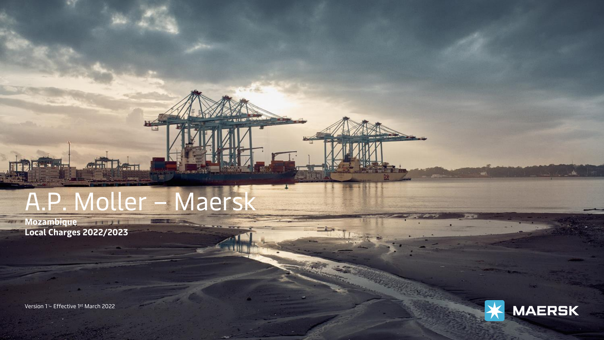# A.P. Moller – Maersk

 $\equiv$   $\equiv$ 

**Mozambique Local Charges 2022/2023**

Version 1 – Effective 1st March 2022

Classification: Public

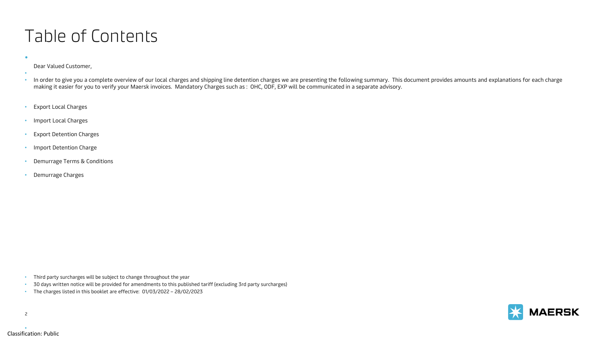#### Table of Contents

#### Dear Valued Customer,

•

- • In order to give you a complete overview of our local charges and shipping line detention charges we are presenting the following summary. This document provides amounts and explanations for each charge making it easier for you to verify your Maersk invoices. Mandatory Charges such as : OHC, ODF, EXP will be communicated in a separate advisory.
- Export Local Charges
- Import Local Charges
- Export Detention Charges
- Import Detention Charge
- Demurrage Terms & Conditions
- Demurrage Charges

- Third party surcharges will be subject to change throughout the year
- 30 days written notice will be provided for amendments to this published tariff (excluding 3rd party surcharges)
- The charges listed in this booklet are effective: 01/03/2022 28/02/2023





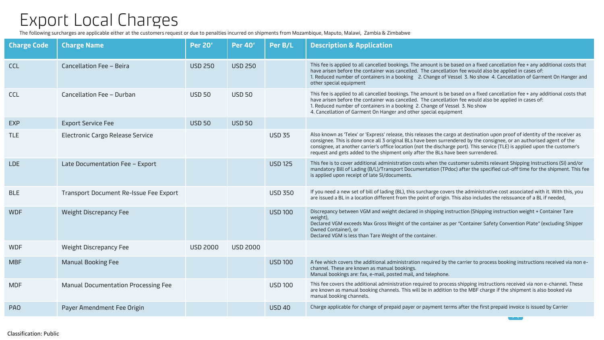#### Export Local Charges

The following surcharges are applicable either at the customers request or due to penalties incurred on shipments from Mozambique, Maputo, Malawi, Zambia & Zimbabwe

| <b>Charge Code</b> | <b>Charge Name</b>                     | <b>Per 20'</b>  | <b>Per 40'</b>  | Per B/L        | <b>Description &amp; Application</b>                                                                                                                                                                                                                                                                                                                                                                                                                                     |
|--------------------|----------------------------------------|-----------------|-----------------|----------------|--------------------------------------------------------------------------------------------------------------------------------------------------------------------------------------------------------------------------------------------------------------------------------------------------------------------------------------------------------------------------------------------------------------------------------------------------------------------------|
| <b>CCL</b>         | Cancellation Fee - Beira               | <b>USD 250</b>  | <b>USD 250</b>  |                | This fee is applied to all cancelled bookings. The amount is be based on a fixed cancellation fee + any additional costs that<br>have arisen before the container was cancelled. The cancellation fee would also be applied in cases of:<br>1. Reduced number of containers in a booking 2. Change of Vessel 3. No show 4. Cancellation of Garment On Hanger and<br>other special equipment                                                                              |
| CCL                | Cancellation Fee - Durban              | <b>USD 50</b>   | <b>USD 50</b>   |                | This fee is applied to all cancelled bookings. The amount is be based on a fixed cancellation fee + any additional costs that<br>have arisen before the container was cancelled. The cancellation fee would also be applied in cases of:<br>1. Reduced number of containers in a booking 2. Change of Vessel 3. No show<br>4. Cancellation of Garment On Hanger and other special equipment                                                                              |
| <b>EXP</b>         | <b>Export Service Fee</b>              | <b>USD 50</b>   | <b>USD 50</b>   |                |                                                                                                                                                                                                                                                                                                                                                                                                                                                                          |
| <b>TLE</b>         | Electronic Cargo Release Service       |                 |                 | <b>USD 35</b>  | Also known as 'Telex' or 'Express' release, this releases the cargo at destination upon proof of identity of the receiver as<br>consignee. This is done once all 3 original BLs have been surrendered by the consignee, or an authorised agent of the<br>consignee, at another carrier's office location (not the discharge port). This service (TLE) is applied upon the customer's<br>request and gets added to the shipment only after the BLs have been surrendered. |
| <b>LDE</b>         | Late Documentation Fee - Export        |                 |                 | <b>USD 125</b> | This fee is to cover additional administration costs when the customer submits relevant Shipping Instructions (SI) and/or<br>mandatory Bill of Lading (B/L)/Transport Documentation (TPdoc) after the specified cut-off time for the shipment. This fee<br>is applied upon receipt of late SI/documents.                                                                                                                                                                 |
| <b>BLE</b>         | Transport Document Re-Issue Fee Export |                 |                 | <b>USD 350</b> | If you need a new set of bill of lading (BL), this surcharge covers the administrative cost associated with it. With this, you<br>are issued a BL in a location different from the point of origin. This also includes the reissuance of a BL if needed,                                                                                                                                                                                                                 |
| <b>WDF</b>         | Weight Discrepancy Fee                 |                 |                 | <b>USD 100</b> | Discrepancy between VGM and weight declared in shipping instruction (Shipping instruction weight + Container Tare<br>weight),<br>Declared VGM exceeds Max Gross Weight of the container as per "Container Safety Convention Plate" (excluding Shipper<br>Owned Container), or<br>Declared VGM is less than Tare Weight of the container.                                                                                                                                 |
| <b>WDF</b>         | Weight Discrepancy Fee                 | <b>USD 2000</b> | <b>USD 2000</b> |                |                                                                                                                                                                                                                                                                                                                                                                                                                                                                          |
| <b>MBF</b>         | <b>Manual Booking Fee</b>              |                 |                 | <b>USD 100</b> | A fee which covers the additional administration required by the carrier to process booking instructions received via non e-<br>channel. These are known as manual bookings.<br>Manual bookings are: fax, e-mail, posted mail, and telephone.                                                                                                                                                                                                                            |
| <b>MDF</b>         | Manual Documentation Processing Fee    |                 |                 | <b>USD 100</b> | This fee covers the additional administration required to process shipping instructions received via non e-channel. These<br>are known as manual booking channels. This will be in addition to the MBF charge if the shipment is also booked via<br>manual booking channels.                                                                                                                                                                                             |
| PA <sub>0</sub>    | Payer Amendment Fee Origin             |                 |                 | <b>USD 40</b>  | Charge applicable for change of prepaid payer or payment terms after the first prepaid invoice is issued by Carrier                                                                                                                                                                                                                                                                                                                                                      |

<u>and the second property</u>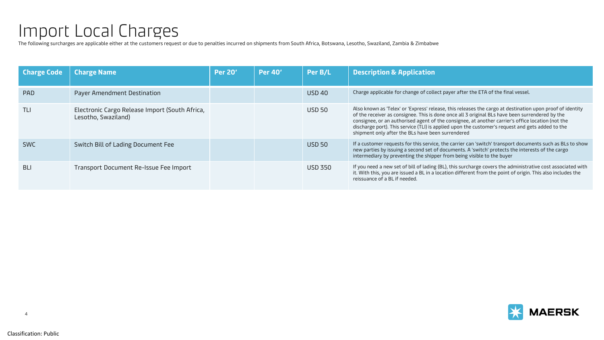## Import Local Charges

The following surcharges are applicable either at the customers request or due to penalties incurred on shipments from South Africa, Botswana, Lesotho, Swaziland, Zambia & Zimbabwe

| <b>Charge Code</b> | <b>Charge Name</b>                                                    | <b>Per 20'</b> | <b>Per 40'</b> | Per B/L        | <b>Description &amp; Application</b>                                                                                                                                                                                                                                                                                                                                                                                                                                       |
|--------------------|-----------------------------------------------------------------------|----------------|----------------|----------------|----------------------------------------------------------------------------------------------------------------------------------------------------------------------------------------------------------------------------------------------------------------------------------------------------------------------------------------------------------------------------------------------------------------------------------------------------------------------------|
| <b>PAD</b>         | Payer Amendment Destination                                           |                |                | <b>USD 40</b>  | Charge applicable for change of collect payer after the ETA of the final vessel.                                                                                                                                                                                                                                                                                                                                                                                           |
| TLI                | Electronic Cargo Release Import (South Africa,<br>Lesotho, Swaziland) |                |                | <b>USD 50</b>  | Also known as 'Telex' or 'Express' release, this releases the cargo at destination upon proof of identity<br>of the receiver as consignee. This is done once all 3 original BLs have been surrendered by the<br>consignee, or an authorised agent of the consignee, at another carrier's office location (not the<br>discharge port). This service (TLI) is applied upon the customer's request and gets added to the<br>shipment only after the BLs have been surrendered |
| <b>SWC</b>         | Switch Bill of Lading Document Fee                                    |                |                | <b>USD 50</b>  | If a customer requests for this service, the carrier can 'switch' transport documents such as BLs to show<br>new parties by issuing a second set of documents. A 'switch' protects the interests of the cargo<br>intermediary by preventing the shipper from being visible to the buyer                                                                                                                                                                                    |
| <b>BLI</b>         | Transport Document Re-Issue Fee Import                                |                |                | <b>USD 350</b> | If you need a new set of bill of lading (BL), this surcharge covers the administrative cost associated with<br>it. With this, you are issued a BL in a location different from the point of origin. This also includes the<br>reissuance of a BL if needed.                                                                                                                                                                                                                |

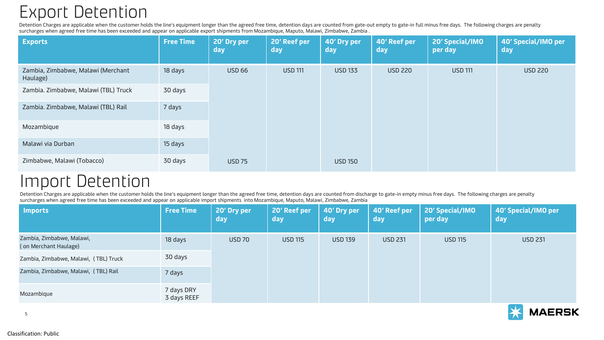### Export Detention

Detention Charges are applicable when the customer holds the line's equipment longer than the agreed free time, detention days are counted from gate-out empty to gate-in full minus free days. The following charges are pena surcharges when agreed free time has been exceeded and appear on applicable export shipments from Mozambique, Maputo, Malawi, Zimbabwe, Zambia .

| <b>Exports</b>                                 | <b>Free Time</b> | 20' Dry per<br>day | 20' Reef per<br>day | 40' Dry per<br>day | 40' Reef per<br>day | 20' Special/IMO<br>per day | 40' Special/IMO per<br>day |
|------------------------------------------------|------------------|--------------------|---------------------|--------------------|---------------------|----------------------------|----------------------------|
| Zambia, Zimbabwe, Malawi (Merchant<br>Haulage) | 18 days          | <b>USD 66</b>      | <b>USD 111</b>      | <b>USD 133</b>     | <b>USD 220</b>      | <b>USD 111</b>             | <b>USD 220</b>             |
| Zambia. Zimbabwe, Malawi (TBL) Truck           | 30 days          |                    |                     |                    |                     |                            |                            |
| Zambia. Zimbabwe, Malawi (TBL) Rail            | 7 days           |                    |                     |                    |                     |                            |                            |
| Mozambique                                     | 18 days          |                    |                     |                    |                     |                            |                            |
| Malawi via Durban                              | 15 days          |                    |                     |                    |                     |                            |                            |
| Zimbabwe, Malawi (Tobacco)                     | 30 days          | <b>USD 75</b>      |                     | <b>USD 150</b>     |                     |                            |                            |

#### Import Detention

Detention Charges are applicable when the customer holds the line's equipment longer than the agreed free time, detention days are counted from discharge to gate-in empty minus free days. The following charges are penalty surcharges when agreed free time has been exceeded and appear on applicable import shipments into Mozambique, Maputo, Malawi, Zimbabwe, Zambia

| <b>Imports</b>                                     | <b>Free Time</b>          | 20' Dry per<br>day | 20' Reef per<br>day | 40' Dry per<br>day | 40' Reef per<br>day | 20' Special/IMO<br>per day | 40' Special/IMO per<br>day |
|----------------------------------------------------|---------------------------|--------------------|---------------------|--------------------|---------------------|----------------------------|----------------------------|
| Zambia, Zimbabwe, Malawi,<br>(on Merchant Haulage) | 18 days                   | <b>USD 70</b>      | <b>USD 115</b>      | <b>USD 139</b>     | <b>USD 231</b>      | <b>USD 115</b>             | <b>USD 231</b>             |
| Zambia, Zimbabwe, Malawi, (TBL) Truck              | 30 days                   |                    |                     |                    |                     |                            |                            |
| Zambia, Zimbabwe, Malawi, (TBL) Rail               | 7 days                    |                    |                     |                    |                     |                            |                            |
| Mozambique                                         | 7 days DRY<br>3 days REEF |                    |                     |                    |                     |                            |                            |



5